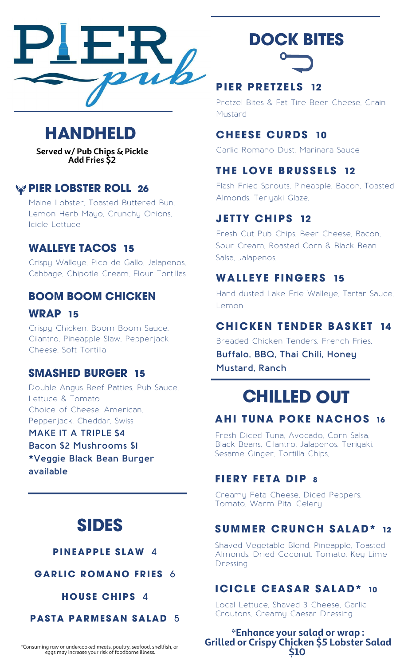

# **HANDHELD**

**Served w/ Pub Chips & Pickle Add Fries \$2**

# **PIER LOBSTER ROLL 26**

Maine Lobster, Toasted Buttered Bun, Lemon Herb Mayo, Crunchy Onions, Icicle Lettuce

# **WALLEYE TACOS 15**

Crispy Walleye, Pico de Gallo, Jalapenos, Cabbage, Chipotle Cream, Flour Tortillas

# **BOOM BOOM CHICKEN**

**WRAP 15**

Crispy Chicken, Boom Boom Sauce, Cilantro, Pineapple Slaw, Pepperjack Cheese, Soft Tortilla

# **SMASHED BURGER 15**

Double Angus Beef Patties, Pub Sauce, Lettuce & Tomato Choice of Cheese: American, Pepperjack, Cheddar, Swiss

**MAKE IT A TRIPLE \$4 Bacon \$2 Mushrooms \$1 \*Veggie Black Bean Burger available**

# **SIDES**

#### **PINEAPPLE SLAW 4**

**GARLIC ROMANO FRIES** 6

**HOUS E CHIPS** 4

**PASTA PARMESAN SALAD** 5

\*Consuming raw or undercooked meats, poultry, seafood, shellfish, or eggs may increase your risk of foodborne illness.

# **DOCK BITES**

# **PI ER PRE T Z E L S 12**

Pretzel Bites & Fat Tire Beer Cheese, Grain Mustard

### **CHEESE CURDS 10**

Garlic Romano Dust, Marinara Sauce

# **THE LOVE BRUSSELS 12**

Flash Fried Sprouts, Pineapple, Bacon, Toasted Almonds, Teriyaki Glaze,

# **J E T TY CHIPS 12**

Fresh Cut Pub Chips, Beer Cheese, Bacon, Sour Cream, Roasted Corn & Black Bean Salsa, Jalapenos,

# **WAL L EYE F INGERS 15**

Hand dusted Lake Erie Walleye, Tartar Sauce, Lemon

### **CHICKEN TENDER BASKET 14**

Breaded Chicken Tenders, French Fries,

**Buffalo, BBQ, Thai Chili, Honey Mustard, Ranch**

# **CHILLED OUT**

# **AHI TUNA POKE NACHOS 16**

Fresh Diced Tuna, Avocado, Corn Salsa, Black Beans, Cilantro, Jalapenos, Teriyaki, Sesame Ginger, Tortilla Chips,

# **F I ERY F E TA DIP 8**

Creamy Feta Cheese, Diced Peppers, Tomato, Warm Pita, Celery

### **SUMMER CRUNCH SALAD\* 12**

Shaved Vegetable Blend, Pineapple, Toasted Almonds, Dried Coconut, Tomato, Key Lime Dressing

# **ICICLE CEASAR SALAD\* 10**

Local Lettuce, Shaved 3 Cheese, Garlic Croutons, Creamy Caesar Dressing

**\*Enhance your salad or wrap : Grilled or Crispy Chicken \$5 Lobster Salad \$10**